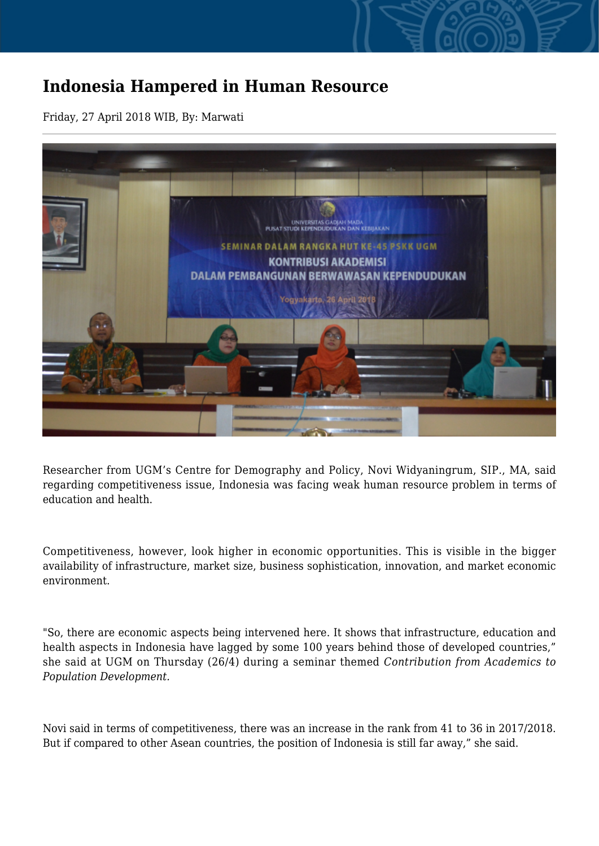## **Indonesia Hampered in Human Resource**

Friday, 27 April 2018 WIB, By: Marwati



Researcher from UGM's Centre for Demography and Policy, Novi Widyaningrum, SIP., MA, said regarding competitiveness issue, Indonesia was facing weak human resource problem in terms of education and health.

Competitiveness, however, look higher in economic opportunities. This is visible in the bigger availability of infrastructure, market size, business sophistication, innovation, and market economic environment.

"So, there are economic aspects being intervened here. It shows that infrastructure, education and health aspects in Indonesia have lagged by some 100 years behind those of developed countries," she said at UGM on Thursday (26/4) during a seminar themed *Contribution from Academics to Population Development.*

Novi said in terms of competitiveness, there was an increase in the rank from 41 to 36 in 2017/2018. But if compared to other Asean countries, the position of Indonesia is still far away," she said.